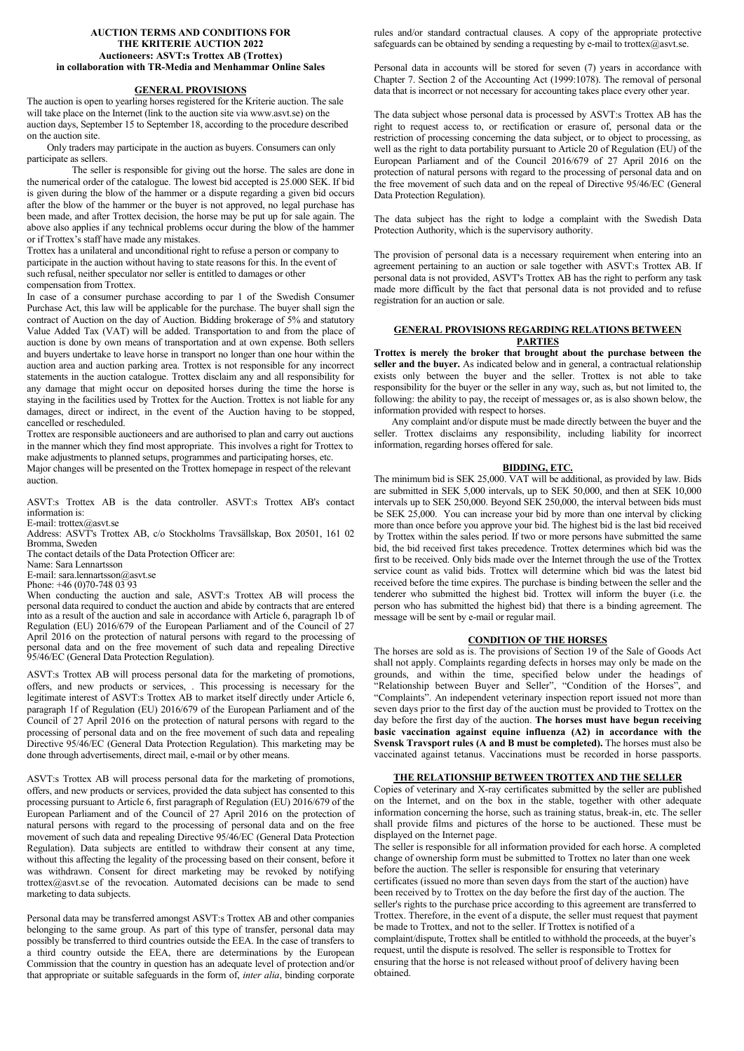#### **AUCTION TERMS AND CONDITIONS FOR THE KRITERIE AUCTION 2022 Auctioneers: ASVT:s Trottex AB (Trottex) in collaboration with TR-Media and Menhammar Online Sales**

### **GENERAL PROVISIONS**

The auction is open to yearling horses registered for the Kriterie auction. The sale will take place on the Internet (link to the auction site via www.asvt.se) on the auction days, September 15 to September 18, according to the procedure described on the auction site.

 Only traders may participate in the auction as buyers. Consumers can only participate as sellers.

The seller is responsible for giving out the horse. The sales are done in the numerical order of the catalogue. The lowest bid accepted is 25.000 SEK. If bid is given during the blow of the hammer or a dispute regarding a given bid occurs after the blow of the hammer or the buyer is not approved, no legal purchase has been made, and after Trottex decision, the horse may be put up for sale again. The above also applies if any technical problems occur during the blow of the hammer or if Trottex's staff have made any mistakes.

Trottex has a unilateral and unconditional right to refuse a person or company to participate in the auction without having to state reasons for this. In the event of such refusal, neither speculator nor seller is entitled to damages or other compensation from Trottex.

In case of a consumer purchase according to par 1 of the Swedish Consumer Purchase Act, this law will be applicable for the purchase. The buyer shall sign the contract of Auction on the day of Auction. Bidding brokerage of 5% and statutory Value Added Tax (VAT) will be added. Transportation to and from the place of auction is done by own means of transportation and at own expense. Both sellers and buyers undertake to leave horse in transport no longer than one hour within the auction area and auction parking area. Trottex is not responsible for any incorrect statements in the auction catalogue. Trottex disclaim any and all responsibility for any damage that might occur on deposited horses during the time the horse is staying in the facilities used by Trottex for the Auction. Trottex is not liable for any damages, direct or indirect, in the event of the Auction having to be stopped, cancelled or rescheduled.

Trottex are responsible auctioneers and are authorised to plan and carry out auctions in the manner which they find most appropriate. This involves a right for Trottex to make adjustments to planned setups, programmes and participating horses, etc.

Major changes will be presented on the Trottex homepage in respect of the relevant auction.

ASVT:s Trottex AB is the data controller. ASVT:s Trottex AB's contact information is:

E-mail: trottex@asvt.se

Address: ASVT's Trottex AB, c/o Stockholms Travsällskap, Box 20501, 161 02 Bromma, Sweden

The contact details of the Data Protection Officer are:

Name: Sara Lennartsson

E-mail: sara.lennartsson@asvt.se

Phone: +46 (0)70-748 03 93

When conducting the auction and sale, ASVT:s Trottex AB will process the personal data required to conduct the auction and abide by contracts that are entered into as a result of the auction and sale in accordance with Article 6, paragraph 1b of Regulation (EU) 2016/679 of the European Parliament and of the Council of 27 April 2016 on the protection of natural persons with regard to the processing of personal data and on the free movement of such data and repealing Directive 95/46/EC (General Data Protection Regulation).

ASVT:s Trottex AB will process personal data for the marketing of promotions, offers, and new products or services, . This processing is necessary for the legitimate interest of ASVT:s Trottex AB to market itself directly under Article 6. paragraph 1f of Regulation (EU) 2016/679 of the European Parliament and of the Council of 27 April 2016 on the protection of natural persons with regard to the processing of personal data and on the free movement of such data and repealing Directive 95/46/EC (General Data Protection Regulation). This marketing may be done through advertisements, direct mail, e-mail or by other means.

ASVT:s Trottex AB will process personal data for the marketing of promotions, offers, and new products or services, provided the data subject has consented to this processing pursuant to Article 6, first paragraph of Regulation (EU) 2016/679 of the European Parliament and of the Council of 27 April 2016 on the protection of natural persons with regard to the processing of personal data and on the free movement of such data and repealing Directive 95/46/EC (General Data Protection Regulation). Data subjects are entitled to withdraw their consent at any time, without this affecting the legality of the processing based on their consent, before it was withdrawn. Consent for direct marketing may be revoked by notifying [trottex@asvt.se](mailto:trottex@asvt.se) of the revocation. Automated decisions can be made to send marketing to data subjects.

Personal data may be transferred amongst ASVT:s Trottex AB and other companies belonging to the same group. As part of this type of transfer, personal data may possibly be transferred to third countries outside the EEA. In the case of transfers to a third country outside the EEA, there are determinations by the European Commission that the country in question has an adequate level of protection and/or that appropriate or suitable safeguards in the form of, *inter alia*, binding corporate rules and/or standard contractual clauses. A copy of the appropriate protective safeguards can be obtained by sending a requesting by e-mail to trottex@asvt.se.

Personal data in accounts will be stored for seven (7) years in accordance with Chapter 7. Section 2 of the Accounting Act (1999:1078). The removal of personal data that is incorrect or not necessary for accounting takes place every other year.

The data subject whose personal data is processed by ASVT:s Trottex AB has the right to request access to, or rectification or erasure of, personal data or the restriction of processing concerning the data subject, or to object to processing, as well as the right to data portability pursuant to Article 20 of Regulation (EU) of the European Parliament and of the Council 2016/679 of 27 April 2016 on the protection of natural persons with regard to the processing of personal data and on the free movement of such data and on the repeal of Directive 95/46/EC (General Data Protection Regulation).

The data subject has the right to lodge a complaint with the Swedish Data Protection Authority, which is the supervisory authority.

The provision of personal data is a necessary requirement when entering into an agreement pertaining to an auction or sale together with ASVT:s Trottex AB. If personal data is not provided, ASVT's Trottex AB has the right to perform any task made more difficult by the fact that personal data is not provided and to refuse registration for an auction or sale.

## **GENERAL PROVISIONS REGARDING RELATIONS BETWEEN PARTIES**

**Trottex is merely the broker that brought about the purchase between the seller and the buyer.** As indicated below and in general, a contractual relationship exists only between the buyer and the seller. Trottex is not able to take responsibility for the buyer or the seller in any way, such as, but not limited to, the following: the ability to pay, the receipt of messages or, as is also shown below, the information provided with respect to horses.

Any complaint and/or dispute must be made directly between the buyer and the seller. Trottex disclaims any responsibility, including liability for incorrect information, regarding horses offered for sale.

#### **BIDDING, ETC.**

The minimum bid is SEK 25,000. VAT will be additional, as provided by law. Bids are submitted in SEK 5,000 intervals, up to SEK 50,000, and then at SEK 10,000 intervals up to SEK 250,000. Beyond SEK 250,000, the interval between bids must be SEK 25,000. You can increase your bid by more than one interval by clicking more than once before you approve your bid. The highest bid is the last bid received by Trottex within the sales period. If two or more persons have submitted the same bid, the bid received first takes precedence. Trottex determines which bid was the first to be received. Only bids made over the Internet through the use of the Trottex service count as valid bids. Trottex will determine which bid was the latest bid received before the time expires. The purchase is binding between the seller and the tenderer who submitted the highest bid. Trottex will inform the buyer (i.e. the person who has submitted the highest bid) that there is a binding agreement. The message will be sent by e-mail or regular mail.

### **CONDITION OF THE HORSES**

The horses are sold as is. The provisions of Section 19 of the Sale of Goods Act shall not apply. Complaints regarding defects in horses may only be made on the grounds, and within the time, specified below under the headings of "Relationship between Buyer and Seller", "Condition of the Horses", and "Complaints". An independent veterinary inspection report issued not more than seven days prior to the first day of the auction must be provided to Trottex on the day before the first day of the auction. **The horses must have begun receiving basic vaccination against equine influenza (A2) in accordance with the Svensk Travsport rules (A and B must be completed).** The horses must also be vaccinated against tetanus. Vaccinations must be recorded in horse passports.

### **THE RELATIONSHIP BETWEEN TROTTEX AND THE SELLER**

Copies of veterinary and X-ray certificates submitted by the seller are published on the Internet, and on the box in the stable, together with other adequate information concerning the horse, such as training status, break-in, etc. The seller shall provide films and pictures of the horse to be auctioned. These must be displayed on the Internet page.

The seller is responsible for all information provided for each horse. A completed change of ownership form must be submitted to Trottex no later than one week before the auction. The seller is responsible for ensuring that veterinary certificates (issued no more than seven days from the start of the auction) have been received by to Trottex on the day before the first day of the auction. The seller's rights to the purchase price according to this agreement are transferred to Trottex. Therefore, in the event of a dispute, the seller must request that payment be made to Trottex, and not to the seller. If Trottex is notified of a complaint/dispute, Trottex shall be entitled to withhold the proceeds, at the buyer's request, until the dispute is resolved. The seller is responsible to Trottex for ensuring that the horse is not released without proof of delivery having been obtained.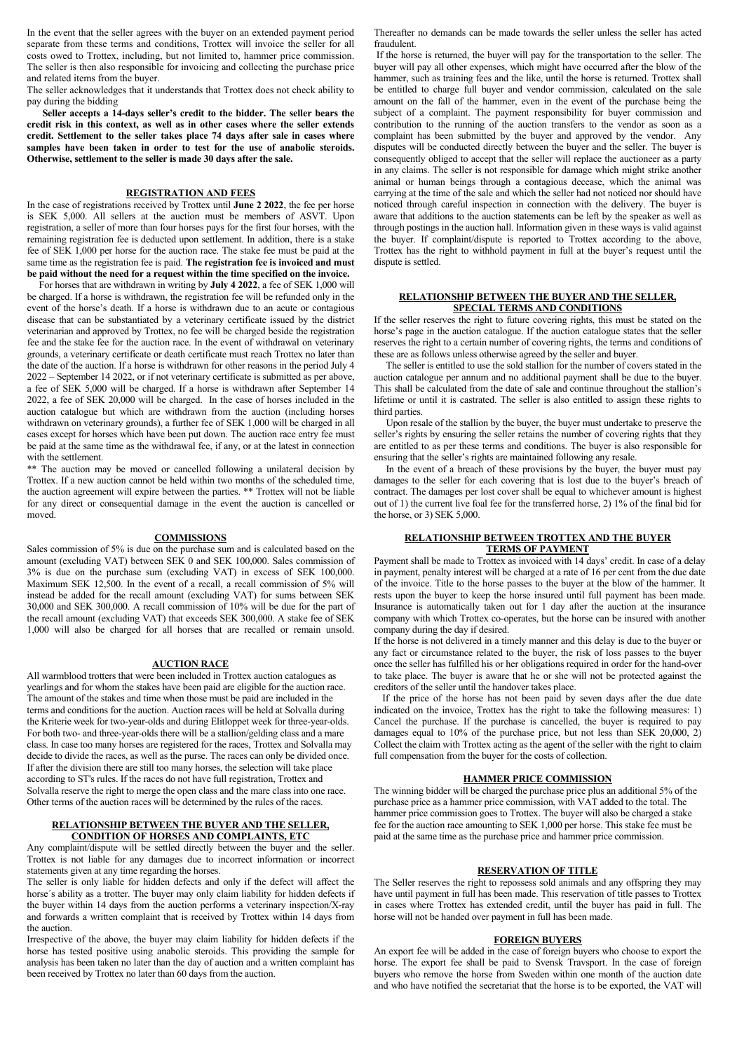In the event that the seller agrees with the buyer on an extended payment period separate from these terms and conditions, Trottex will invoice the seller for all costs owed to Trottex, including, but not limited to, hammer price commission. The seller is then also responsible for invoicing and collecting the purchase price and related items from the buyer.

The seller acknowledges that it understands that Trottex does not check ability to pay during the bidding

**Seller accepts a 14-days seller's credit to the bidder. The seller bears the credit risk in this context, as well as in other cases where the seller extends credit. Settlement to the seller takes place 74 days after sale in cases where samples have been taken in order to test for the use of anabolic steroids. Otherwise, settlement to the seller is made 30 days after the sale.**

### **REGISTRATION AND FEES**

In the case of registrations received by Trottex until **June 2 2022**, the fee per horse is SEK 5,000. All sellers at the auction must be members of ASVT. Upon registration, a seller of more than four horses pays for the first four horses, with the remaining registration fee is deducted upon settlement. In addition, there is a stake fee of SEK 1,000 per horse for the auction race. The stake fee must be paid at the same time as the registration fee is paid. **The registration fee is invoiced and must be paid without the need for a request within the time specified on the invoice.** 

 For horses that are withdrawn in writing by **July 4 2022**, a fee of SEK 1,000 will be charged. If a horse is withdrawn, the registration fee will be refunded only in the event of the horse's death. If a horse is withdrawn due to an acute or contagious disease that can be substantiated by a veterinary certificate issued by the district veterinarian and approved by Trottex, no fee will be charged beside the registration fee and the stake fee for the auction race. In the event of withdrawal on veterinary grounds, a veterinary certificate or death certificate must reach Trottex no later than the date of the auction. If a horse is withdrawn for other reasons in the period July 4 2022 – September 14 2022, or if not veterinary certificate is submitted as per above, a fee of SEK 5,000 will be charged. If a horse is withdrawn after September 14 2022, a fee of SEK 20,000 will be charged. In the case of horses included in the auction catalogue but which are withdrawn from the auction (including horses withdrawn on veterinary grounds), a further fee of SEK 1,000 will be charged in all cases except for horses which have been put down. The auction race entry fee must be paid at the same time as the withdrawal fee, if any, or at the latest in connection with the settlement.

\*\* The auction may be moved or cancelled following a unilateral decision by Trottex. If a new auction cannot be held within two months of the scheduled time, the auction agreement will expire between the parties. \*\* Trottex will not be liable for any direct or consequential damage in the event the auction is cancelled or moved.

## **COMMISSIONS**

Sales commission of 5% is due on the purchase sum and is calculated based on the amount (excluding VAT) between SEK 0 and SEK 100,000. Sales commission of 3% is due on the purchase sum (excluding VAT) in excess of SEK 100,000. Maximum SEK 12,500. In the event of a recall, a recall commission of 5% will instead be added for the recall amount (excluding VAT) for sums between SEK 30,000 and SEK 300,000. A recall commission of 10% will be due for the part of the recall amount (excluding VAT) that exceeds SEK 300,000. A stake fee of SEK 1,000 will also be charged for all horses that are recalled or remain unsold.

### **AUCTION RACE**

All warmblood trotters that were been included in Trottex auction catalogues as yearlings and for whom the stakes have been paid are eligible for the auction race. The amount of the stakes and time when those must be paid are included in the terms and conditions for the auction. Auction races will be held at Solvalla during the Kriterie week for two-year-olds and during Elitloppet week for three-year-olds. For both two- and three-year-olds there will be a stallion/gelding class and a mare class. In case too many horses are registered for the races, Trottex and Solvalla may decide to divide the races, as well as the purse. The races can only be divided once. If after the division there are still too many horses, the selection will take place according to ST's rules. If the races do not have full registration, Trottex and Solvalla reserve the right to merge the open class and the mare class into one race. Other terms of the auction races will be determined by the rules of the races.

## **RELATIONSHIP BETWEEN THE BUYER AND THE SELLER, CONDITION OF HORSES AND COMPLAINTS, ETC**

Any complaint/dispute will be settled directly between the buyer and the seller. Trottex is not liable for any damages due to incorrect information or incorrect statements given at any time regarding the horses.

The seller is only liable for hidden defects and only if the defect will affect the horse´s ability as a trotter. The buyer may only claim liability for hidden defects if the buyer within 14 days from the auction performs a veterinary inspection/X-ray and forwards a written complaint that is received by Trottex within 14 days from the auction.

Irrespective of the above, the buyer may claim liability for hidden defects if the horse has tested positive using anabolic steroids. This providing the sample for analysis has been taken no later than the day of auction and a written complaint has been received by Trottex no later than 60 days from the auction.

Thereafter no demands can be made towards the seller unless the seller has acted fraudulent.

If the horse is returned, the buyer will pay for the transportation to the seller. The buyer will pay all other expenses, which might have occurred after the blow of the hammer, such as training fees and the like, until the horse is returned. Trottex shall be entitled to charge full buyer and vendor commission, calculated on the sale amount on the fall of the hammer, even in the event of the purchase being the subject of a complaint. The payment responsibility for buyer commission and contribution to the running of the auction transfers to the vendor as soon as a complaint has been submitted by the buyer and approved by the vendor. Any disputes will be conducted directly between the buyer and the seller. The buyer is consequently obliged to accept that the seller will replace the auctioneer as a party in any claims. The seller is not responsible for damage which might strike another animal or human beings through a contagious decease, which the animal was carrying at the time of the sale and which the seller had not noticed nor should have noticed through careful inspection in connection with the delivery. The buyer is aware that additions to the auction statements can be left by the speaker as well as through postings in the auction hall. Information given in these ways is valid against the buyer. If complaint/dispute is reported to Trottex according to the above, Trottex has the right to withhold payment in full at the buyer's request until the dispute is settled.

### **RELATIONSHIP BETWEEN THE BUYER AND THE SELLER, SPECIAL TERMS AND CONDITIONS**

If the seller reserves the right to future covering rights, this must be stated on the horse's page in the auction catalogue. If the auction catalogue states that the seller reserves the right to a certain number of covering rights, the terms and conditions of these are as follows unless otherwise agreed by the seller and buyer.

 The seller is entitled to use the sold stallion for the number of covers stated in the auction catalogue per annum and no additional payment shall be due to the buyer. This shall be calculated from the date of sale and continue throughout the stallion's lifetime or until it is castrated. The seller is also entitled to assign these rights to third parties.

 Upon resale of the stallion by the buyer, the buyer must undertake to preserve the seller's rights by ensuring the seller retains the number of covering rights that they are entitled to as per these terms and conditions. The buyer is also responsible for ensuring that the seller's rights are maintained following any resale.

 In the event of a breach of these provisions by the buyer, the buyer must pay damages to the seller for each covering that is lost due to the buyer's breach of contract. The damages per lost cover shall be equal to whichever amount is highest out of 1) the current live foal fee for the transferred horse, 2) 1% of the final bid for the horse, or 3) SEK 5,000.

## **RELATIONSHIP BETWEEN TROTTEX AND THE BUYER TERMS OF PAYMENT**

Payment shall be made to Trottex as invoiced with 14 days' credit. In case of a delay in payment, penalty interest will be charged at a rate of 16 per cent from the due date of the invoice. Title to the horse passes to the buyer at the blow of the hammer. It rests upon the buyer to keep the horse insured until full payment has been made. Insurance is automatically taken out for 1 day after the auction at the insurance company with which Trottex co-operates, but the horse can be insured with another company during the day if desired.

If the horse is not delivered in a timely manner and this delay is due to the buyer or any fact or circumstance related to the buyer, the risk of loss passes to the buyer once the seller has fulfilled his or her obligations required in order for the hand-over to take place. The buyer is aware that he or she will not be protected against the creditors of the seller until the handover takes place.

If the price of the horse has not been paid by seven days after the due date indicated on the invoice, Trottex has the right to take the following measures: 1) Cancel the purchase. If the purchase is cancelled, the buyer is required to pay damages equal to 10% of the purchase price, but not less than SEK 20,000, 2) Collect the claim with Trottex acting as the agent of the seller with the right to claim full compensation from the buyer for the costs of collection.

# **HAMMER PRICE COMMISSION**

The winning bidder will be charged the purchase price plus an additional 5% of the purchase price as a hammer price commission, with VAT added to the total. The hammer price commission goes to Trottex. The buyer will also be charged a stake fee for the auction race amounting to SEK 1,000 per horse. This stake fee must be paid at the same time as the purchase price and hammer price commission.

# **RESERVATION OF TITLE**

The Seller reserves the right to repossess sold animals and any offspring they may have until payment in full has been made. This reservation of title passes to Trottex in cases where Trottex has extended credit, until the buyer has paid in full. The horse will not be handed over payment in full has been made.

### **FOREIGN BUYERS**

An export fee will be added in the case of foreign buyers who choose to export the horse. The export fee shall be paid to Svensk Travsport. In the case of foreign buyers who remove the horse from Sweden within one month of the auction date and who have notified the secretariat that the horse is to be exported, the VAT will